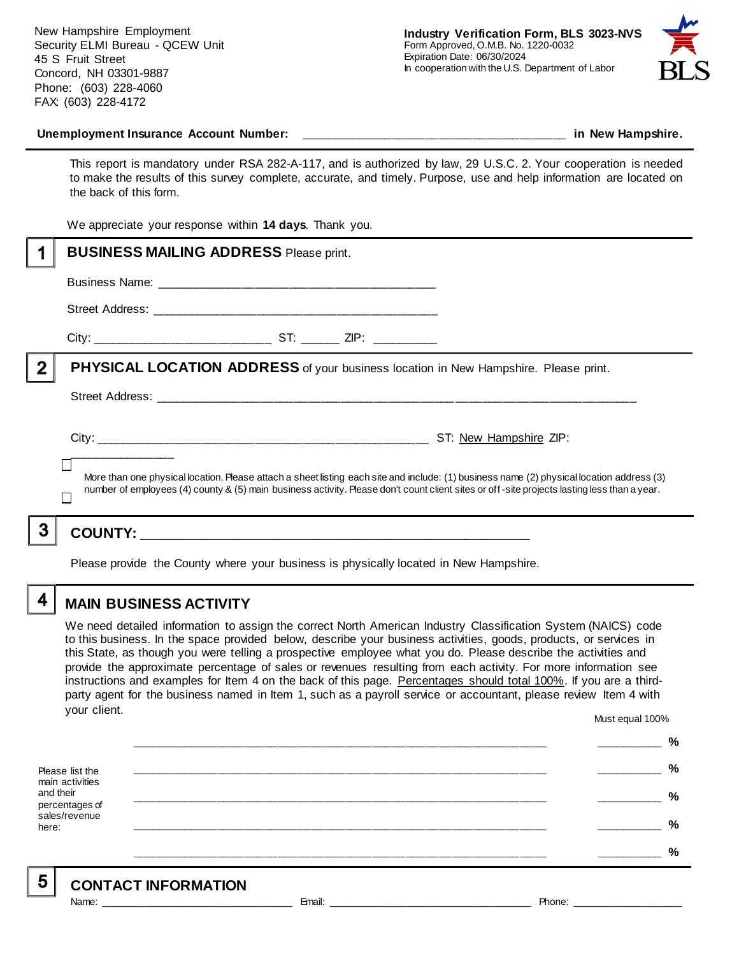New Hampshire Employment Security ELMI Bureau - QCEW Unit 45 S Fruit Street Concord, NH 03301-9887 Phone: (603) 228-4060 FAX: (603) 228-4172



#### **Unemployment Insurance Account Number: \_\_\_\_\_\_\_\_\_\_\_\_\_\_\_\_\_\_\_\_\_\_\_\_\_\_\_\_\_\_\_\_\_\_\_\_\_\_\_\_ in New Hampshire.**

This report is mandatory under RSA 282-A-117, and is authorized by law, 29 U.S.C. 2. Your cooperation is needed to make the results of this survey complete, accurate, and timely. Purpose, use and help information are located on the back of this form.

We appreciate your response within **14 days**. Thank you.

|   | <b>BUSINESS MAILING ADDRESS Please print.</b>                                                                                                                                                                                                                                            |  |
|---|------------------------------------------------------------------------------------------------------------------------------------------------------------------------------------------------------------------------------------------------------------------------------------------|--|
|   |                                                                                                                                                                                                                                                                                          |  |
|   |                                                                                                                                                                                                                                                                                          |  |
|   |                                                                                                                                                                                                                                                                                          |  |
|   | <b>PHYSICAL LOCATION ADDRESS</b> of your business location in New Hampshire. Please print.                                                                                                                                                                                               |  |
|   |                                                                                                                                                                                                                                                                                          |  |
|   | More than one physical location. Please attach a sheet listing each site and include: (1) business name (2) physical location address (3)<br>number of employees (4) county & (5) main business activity. Please don't count client sites or off-site projects lasting less than a year. |  |
| 3 |                                                                                                                                                                                                                                                                                          |  |

Please provide the County where your business is physically located in New Hampshire.

4

### **MAIN BUSINESS ACTIVITY**

We need detailed information to assign the correct North American Industry Classification System (NAICS) code to this business. In the space provided below, describe your business activities, goods, products, or services in this State, as though you were telling a prospective employee what you do. Please describe the activities and provide the approximate percentage of sales or revenues resulting from each activity. For more information see instructions and examples for Item 4 on the back of this page. Percentages should total 100%. If you are a thirdparty agent for the business named in Item 1, such as a payroll service or accountant, please review Item 4 with your client. Must equal 100%

Please list the main activities and their percentages of sales/revenue here: **\_\_\_\_\_\_\_\_\_\_\_\_\_\_\_\_\_\_\_\_\_\_\_\_\_\_\_\_\_\_\_\_\_\_\_\_\_\_\_\_\_\_\_\_\_\_\_\_\_\_\_\_\_\_\_\_\_\_\_\_\_\_ \_\_\_\_\_\_\_\_\_\_ % \_\_\_\_\_\_\_\_\_\_\_\_\_\_\_\_\_\_\_\_\_\_\_\_\_\_\_\_\_\_\_\_\_\_\_\_\_\_\_\_\_\_\_\_\_\_\_\_\_\_\_\_\_\_\_\_\_\_\_\_\_\_ \_\_\_\_\_\_\_\_\_\_ % \_\_\_\_\_\_\_\_\_\_\_\_\_\_\_\_\_\_\_\_\_\_\_\_\_\_\_\_\_\_\_\_\_\_\_\_\_\_\_\_\_\_\_\_\_\_\_\_\_\_\_\_\_\_\_\_\_\_\_\_\_\_ \_\_\_\_\_\_\_\_\_\_ % \_\_\_\_\_\_\_\_\_\_\_\_\_\_\_\_\_\_\_\_\_\_\_\_\_\_\_\_\_\_\_\_\_\_\_\_\_\_\_\_\_\_\_\_\_\_\_\_\_\_\_\_\_\_\_\_\_\_\_\_\_\_ \_\_\_\_\_\_\_\_\_\_ % \_\_\_\_\_\_\_\_\_\_\_\_\_\_\_\_\_\_\_\_\_\_\_\_\_\_\_\_\_\_\_\_\_\_\_\_\_\_\_\_\_\_\_\_\_\_\_\_\_\_\_\_\_\_\_\_\_\_\_\_\_\_ \_\_\_\_\_\_\_\_\_\_ %**

5